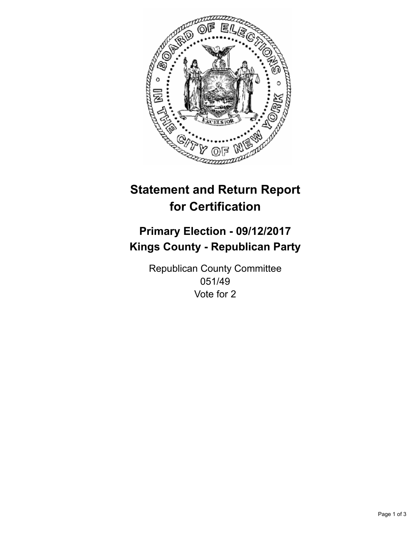

## **Statement and Return Report for Certification**

## **Primary Election - 09/12/2017 Kings County - Republican Party**

Republican County Committee 051/49 Vote for 2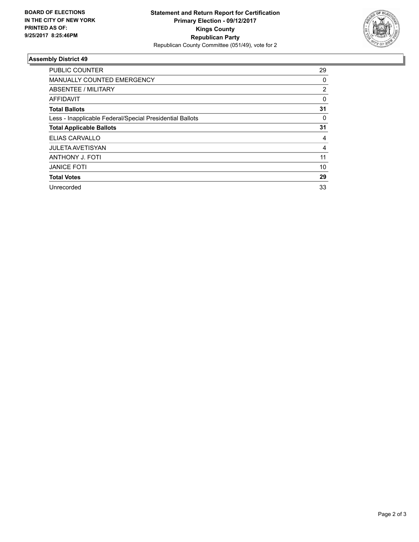

## **Assembly District 49**

| <b>PUBLIC COUNTER</b>                                    | 29       |
|----------------------------------------------------------|----------|
| <b>MANUALLY COUNTED EMERGENCY</b>                        | 0        |
| ABSENTEE / MILITARY                                      | 2        |
| AFFIDAVIT                                                | $\Omega$ |
| <b>Total Ballots</b>                                     | 31       |
| Less - Inapplicable Federal/Special Presidential Ballots | 0        |
| <b>Total Applicable Ballots</b>                          | 31       |
| ELIAS CARVALLO                                           | 4        |
| <b>JULETA AVETISYAN</b>                                  | 4        |
| ANTHONY J. FOTI                                          | 11       |
| <b>JANICE FOTI</b>                                       | 10       |
| <b>Total Votes</b>                                       | 29       |
| Unrecorded                                               | 33       |